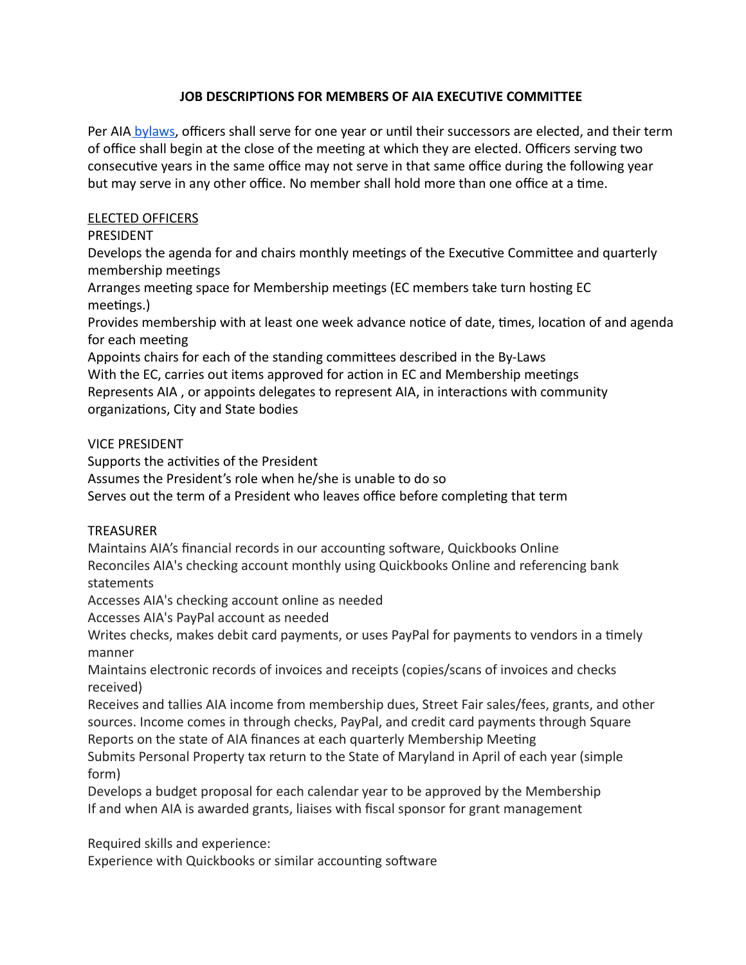# **JOB DESCRIPTIONS FOR MEMBERS OF AIA EXECUTIVE COMMITTEE**

Per AIA bylaws, officers shall serve for one year or until their successors are elected, and their term of office shall begin at the close of the meeting at which they are elected. Officers serving two consecutive years in the same office may not serve in that same office during the following year but may serve in any other office. No member shall hold more than one office at a time.

# ELECTED OFFICERS

PRESIDENT

Develops the agenda for and chairs monthly meetings of the Executive Committee and quarterly membership meetings

Arranges meeting space for Membership meetings (EC members take turn hosting EC meetings.)

Provides membership with at least one week advance notice of date, times, location of and agenda for each meeting

Appoints chairs for each of the standing committees described in the By-Laws With the EC, carries out items approved for action in EC and Membership meetings Represents AIA, or appoints delegates to represent AIA, in interactions with community organizations, City and State bodies

# VICE PRESIDENT

Supports the activities of the President

Assumes the President's role when he/she is unable to do so

Serves out the term of a President who leaves office before completing that term

# TREASURER

Maintains AIA's financial records in our accounting software, Quickbooks Online Reconciles AIA's checking account monthly using Quickbooks Online and referencing bank statements

Accesses AIA's checking account online as needed

Accesses AIA's PayPal account as needed

Writes checks, makes debit card payments, or uses PayPal for payments to vendors in a timely manner

Maintains electronic records of invoices and receipts (copies/scans of invoices and checks received)

Receives and tallies AIA income from membership dues, Street Fair sales/fees, grants, and other sources. Income comes in through checks, PayPal, and credit card payments through Square Reports on the state of AIA finances at each quarterly Membership Meeting

Submits Personal Property tax return to the State of Maryland in April of each year (simple form)

Develops a budget proposal for each calendar year to be approved by the Membership If and when AIA is awarded grants, liaises with fiscal sponsor for grant management

Required skills and experience:

Experience with Quickbooks or similar accounting software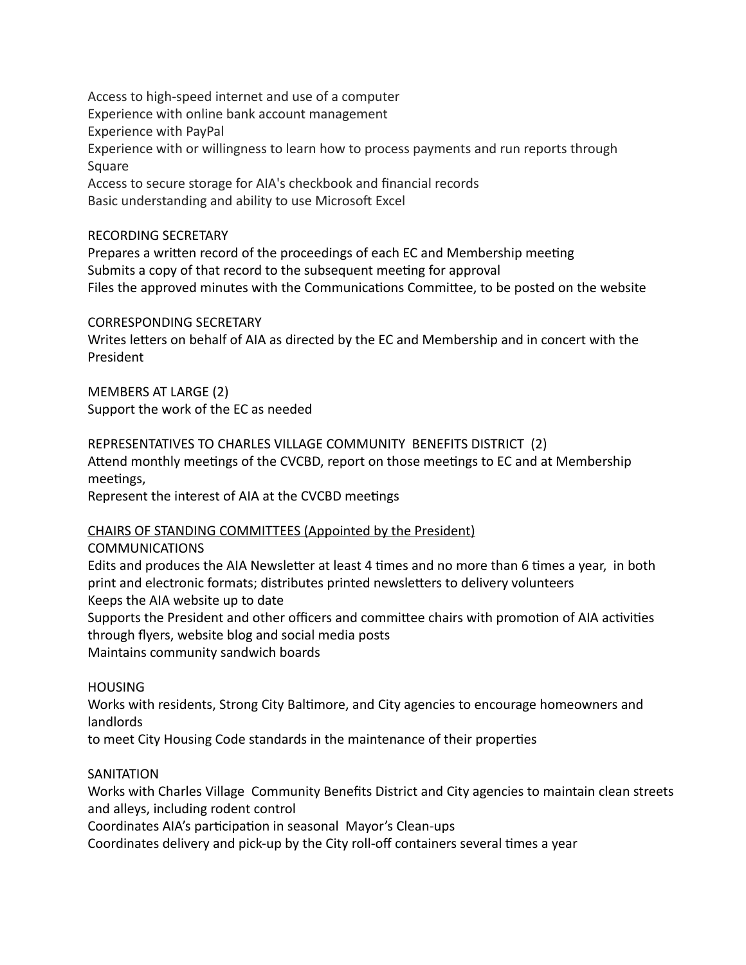Access to high-speed internet and use of a computer Experience with online bank account management Experience with PayPal Experience with or willingness to learn how to process payments and run reports through Square Access to secure storage for AIA's checkbook and financial records Basic understanding and ability to use Microsoft Excel

#### RECORDING SECRETARY

Prepares a written record of the proceedings of each EC and Membership meeting Submits a copy of that record to the subsequent meeting for approval Files the approved minutes with the Communications Committee, to be posted on the website

# CORRESPONDING SECRETARY

Writes letters on behalf of AIA as directed by the EC and Membership and in concert with the President

MEMBERS AT LARGE (2) Support the work of the EC as needed

REPRESENTATIVES TO CHARLES VILLAGE COMMUNITY BENEFITS DISTRICT (2) Attend monthly meetings of the CVCBD, report on those meetings to EC and at Membership meetings.

Represent the interest of AIA at the CVCBD meetings

### CHAIRS OF STANDING COMMITTEES (Appointed by the President)

COMMUNICATIONS

Edits and produces the AIA Newsletter at least 4 times and no more than 6 times a year, in both print and electronic formats; distributes printed newsletters to delivery volunteers Keeps the AIA website up to date

Supports the President and other officers and committee chairs with promotion of AIA activities through flyers, website blog and social media posts

Maintains community sandwich boards

#### HOUSING

Works with residents, Strong City Baltimore, and City agencies to encourage homeowners and landlords

to meet City Housing Code standards in the maintenance of their properties

#### **SANITATION**

Works with Charles Village Community Benefits District and City agencies to maintain clean streets and alleys, including rodent control

Coordinates AIA's participation in seasonal Mayor's Clean-ups

Coordinates delivery and pick-up by the City roll-off containers several times a year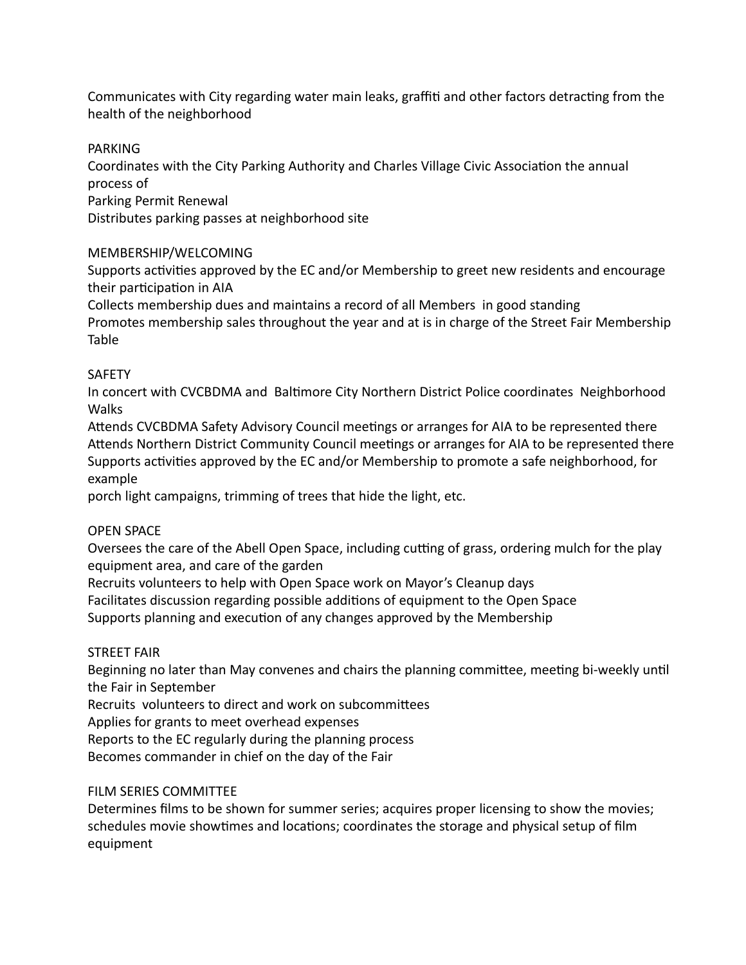Communicates with City regarding water main leaks, graffiti and other factors detracting from the health of the neighborhood

PARKING

Coordinates with the City Parking Authority and Charles Village Civic Association the annual process of Parking Permit Renewal Distributes parking passes at neighborhood site

## MEMBERSHIP/WELCOMING

Supports activities approved by the EC and/or Membership to greet new residents and encourage their participation in AIA

Collects membership dues and maintains a record of all Members in good standing Promotes membership sales throughout the year and at is in charge of the Street Fair Membership Table

## **SAFETY**

In concert with CVCBDMA and Baltimore City Northern District Police coordinates Neighborhood Walks

Attends CVCBDMA Safety Advisory Council meetings or arranges for AIA to be represented there Attends Northern District Community Council meetings or arranges for AIA to be represented there Supports activities approved by the EC and/or Membership to promote a safe neighborhood, for example

porch light campaigns, trimming of trees that hide the light, etc.

### OPEN SPACE

Oversees the care of the Abell Open Space, including cutting of grass, ordering mulch for the play equipment area, and care of the garden

Recruits volunteers to help with Open Space work on Mayor's Cleanup days

Facilitates discussion regarding possible additions of equipment to the Open Space

Supports planning and execution of any changes approved by the Membership

# STREET FAIR

Beginning no later than May convenes and chairs the planning committee, meeting bi-weekly until the Fair in September

Recruits volunteers to direct and work on subcommittees

Applies for grants to meet overhead expenses

Reports to the EC regularly during the planning process

Becomes commander in chief on the day of the Fair

# FILM SERIES COMMITTEE

Determines films to be shown for summer series; acquires proper licensing to show the movies; schedules movie showtimes and locations; coordinates the storage and physical setup of film equipment